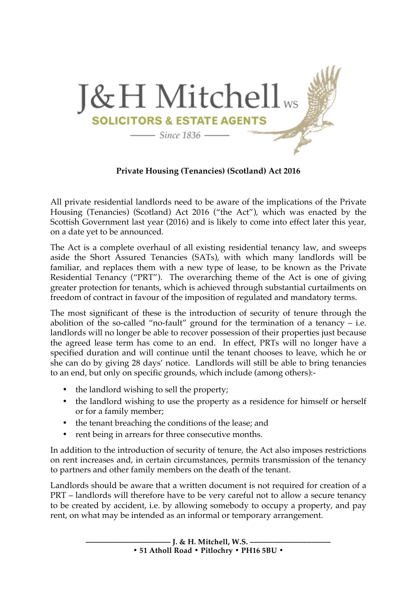

**Private Housing (Tenancies) (Scotland) Act 2016**

All private residential landlords need to be aware of the implications of the Private Housing (Tenancies) (Scotland) Act 2016 ("the Act"), which was enacted by the Scottish Government last year (2016) and is likely to come into effect later this year, on a date yet to be announced.

The Act is a complete overhaul of all existing residential tenancy law, and sweeps aside the Short Assured Tenancies (SATs), with which many landlords will be familiar, and replaces them with a new type of lease, to be known as the Private Residential Tenancy ("PRT"). The overarching theme of the Act is one of giving greater protection for tenants, which is achieved through substantial curtailments on freedom of contract in favour of the imposition of regulated and mandatory terms.

The most significant of these is the introduction of security of tenure through the abolition of the so-called "no-fault" ground for the termination of a tenancy  $-$  i.e. landlords will no longer be able to recover possession of their properties just because the agreed lease term has come to an end. In effect, PRTs will no longer have a specified duration and will continue until the tenant chooses to leave, which he or she can do by giving 28 days' notice. Landlords will still be able to bring tenancies to an end, but only on specific grounds, which include (among others):-

- the landlord wishing to sell the property;
- the landlord wishing to use the property as a residence for himself or herself or for a family member;
- the tenant breaching the conditions of the lease; and
- rent being in arrears for three consecutive months.

In addition to the introduction of security of tenure, the Act also imposes restrictions on rent increases and, in certain circumstances, permits transmission of the tenancy to partners and other family members on the death of the tenant.

Landlords should be aware that a written document is not required for creation of a PRT – landlords will therefore have to be very careful not to allow a secure tenancy to be created by accident, i.e. by allowing somebody to occupy a property, and pay rent, on what may be intended as an informal or temporary arrangement.